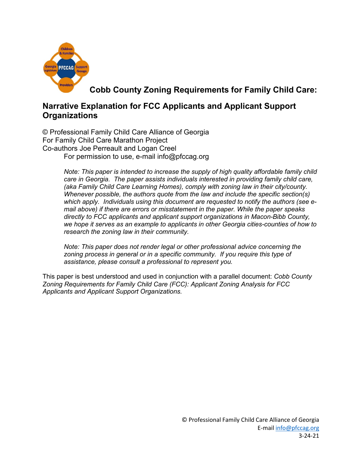

**Cobb County Zoning Requirements for Family Child Care:** 

# **Narrative Explanation for FCC Applicants and Applicant Support Organizations**

© Professional Family Child Care Alliance of Georgia For Family Child Care Marathon Project Co-authors Joe Perreault and Logan Creel For permission to use, e-mail info@pfccag.org

> *Note: This paper is intended to increase the supply of high quality affordable family child care in Georgia. The paper assists individuals interested in providing family child care, (aka Family Child Care Learning Homes), comply with zoning law in their city/county. Whenever possible, the authors quote from the law and include the specific section(s) which apply. Individuals using this document are requested to notify the authors (see email above) if there are errors or misstatement in the paper. While the paper speaks directly to FCC applicants and applicant support organizations in Macon-Bibb County, we hope it serves as an example to applicants in other Georgia cities-counties of how to research the zoning law in their community.*

*Note: This paper does not render legal or other professional advice concerning the zoning process in general or in a specific community. If you require this type of assistance, please consult a professional to represent you.*

This paper is best understood and used in conjunction with a parallel document: *Cobb County Zoning Requirements for Family Child Care (FCC): Applicant Zoning Analysis for FCC Applicants and Applicant Support Organizations.*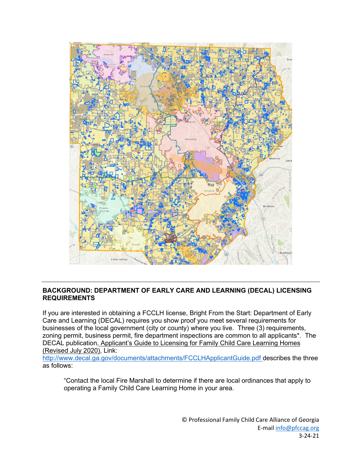

# **BACKGROUND: DEPARTMENT OF EARLY CARE AND LEARNING (DECAL) LICENSING REQUIREMENTS**

If you are interested in obtaining a FCCLH license, Bright From the Start: Department of Early Care and Learning (DECAL) requires you show proof you meet several requirements for businesses of the local government (city or county) where you live. Three (3) requirements, zoning permit, business permit, fire department inspections are common to all applicants\*. The DECAL publication, Applicant's Guide to Licensing for Family Child Care Learning Homes (Revised July 2020), Link:

<http://www.decal.ga.gov/documents/attachments/FCCLHApplicantGuide.pdf> describes the three as follows:

"Contact the local Fire Marshall to determine if there are local ordinances that apply to operating a Family Child Care Learning Home in your area.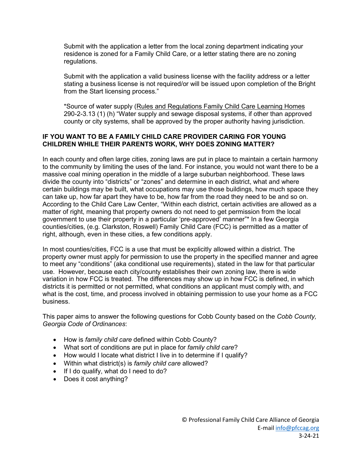Submit with the application a letter from the local zoning department indicating your residence is zoned for a Family Child Care, or a letter stating there are no zoning regulations.

Submit with the application a valid business license with the facility address or a letter stating a business license is not required/or will be issued upon completion of the Bright from the Start licensing process."

\*Source of water supply (Rules and Regulations Family Child Care Learning Homes 290-2-3.13 (1) (h) "Water supply and sewage disposal systems, if other than approved county or city systems, shall be approved by the proper authority having jurisdiction.

#### **IF YOU WANT TO BE A FAMILY CHILD CARE PROVIDER CARING FOR YOUNG CHILDREN WHILE THEIR PARENTS WORK, WHY DOES ZONING MATTER?**

In each county and often large cities, zoning laws are put in place to maintain a certain harmony to the community by limiting the uses of the land. For instance, you would not want there to be a massive coal mining operation in the middle of a large suburban neighborhood. These laws divide the county into "districts" or "zones" and determine in each district, what and where certain buildings may be built, what occupations may use those buildings, how much space they can take up, how far apart they have to be, how far from the road they need to be and so on. According to the Child Care Law Center, "Within each district, certain activities are allowed as a matter of right, meaning that property owners do not need to get permission from the local government to use their property in a particular 'pre-approved' manner"\* In a few Georgia counties/cities, (e.g. Clarkston, Roswell) Family Child Care (FCC) is permitted as a matter of right, although, even in these cities, a few conditions apply.

In most counties/cities, FCC is a use that must be explicitly allowed within a district. The property owner must apply for permission to use the property in the specified manner and agree to meet any "conditions" (aka conditional use requirements), stated in the law for that particular use. However, because each city/county establishes their own zoning law, there is wide variation in how FCC is treated. The differences may show up in how FCC is defined, in which districts it is permitted or not permitted, what conditions an applicant must comply with, and what is the cost, time, and process involved in obtaining permission to use your home as a FCC business.

This paper aims to answer the following questions for Cobb County based on the *Cobb County, Georgia Code of Ordinances*:

- How is *family child care* defined within Cobb County?
- What sort of conditions are put in place for *family child care*?
- How would I locate what district I live in to determine if I qualify?
- Within what district(s) is *family child care* allowed?
- If I do qualify, what do I need to do?
- Does it cost anything?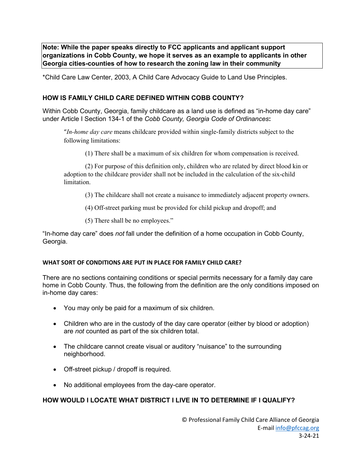**Note: While the paper speaks directly to FCC applicants and applicant support organizations in Cobb County, we hope it serves as an example to applicants in other Georgia cities-counties of how to research the zoning law in their community** 

\*Child Care Law Center, 2003, A Child Care Advocacy Guide to Land Use Principles.

# **HOW IS FAMILY CHILD CARE DEFINED WITHIN COBB COUNTY?**

Within Cobb County, Georgia, family childcare as a land use is defined as "in-home day care" under Article I Section 134-1 of the *Cobb County, Georgia Code of Ordinances***:**

"*In-home day care* means childcare provided within single-family districts subject to the following limitations:

(1) There shall be a maximum of six children for whom compensation is received.

(2) For purpose of this definition only, children who are related by direct blood kin or adoption to the childcare provider shall not be included in the calculation of the six-child limitation.

(3) The childcare shall not create a nuisance to immediately adjacent property owners.

- (4) Off-street parking must be provided for child pickup and dropoff; and
- (5) There shall be no employees."

"In-home day care" does *not* fall under the definition of a home occupation in Cobb County, Georgia.

#### **WHAT SORT OF CONDITIONS ARE PUT IN PLACE FOR FAMILY CHILD CARE?**

There are no sections containing conditions or special permits necessary for a family day care home in Cobb County. Thus, the following from the definition are the only conditions imposed on in-home day cares:

- You may only be paid for a maximum of six children.
- Children who are in the custody of the day care operator (either by blood or adoption) are *not* counted as part of the six children total.
- The childcare cannot create visual or auditory "nuisance" to the surrounding neighborhood.
- Off-street pickup / dropoff is required.
- No additional employees from the day-care operator.

#### **HOW WOULD I LOCATE WHAT DISTRICT I LIVE IN TO DETERMINE IF I QUALIFY?**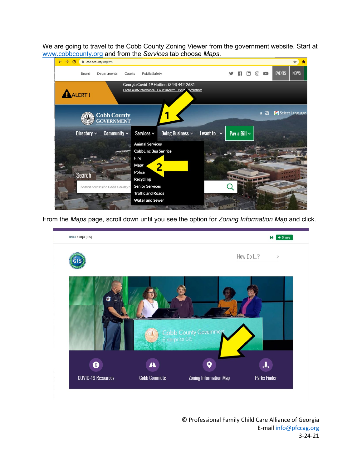We are going to travel to the Cobb County Zoning Viewer from the government website. Start at [www.cobbcounty.org](http://www.cobbcounty.org/) and from the *Services* tab choose *Maps*.



From the *Maps* page, scroll down until you see the option for *Zoning Information Map* and click.



© Professional Family Child Care Alliance of Georgia E-mail [info@pfccag.org](mailto:info@pfccag.org) 3-24-21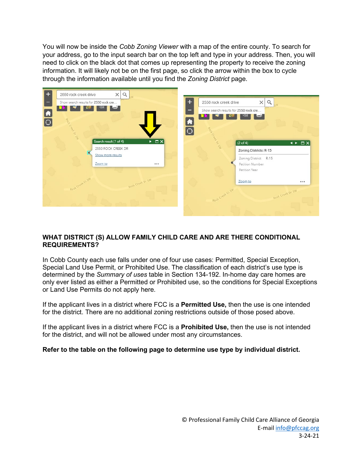You will now be inside the *Cobb Zoning Viewer* with a map of the entire county. To search for your address, go to the input search bar on the top left and type in your address. Then, you will need to click on the black dot that comes up representing the property to receive the zoning information. It will likely not be on the first page, so click the arrow within the box to cycle through the information available until you find the *Zoning District* page.



# **WHAT DISTRICT (S) ALLOW FAMILY CHILD CARE AND ARE THERE CONDITIONAL REQUIREMENTS?**

In Cobb County each use falls under one of four use cases: Permitted, Special Exception, Special Land Use Permit, or Prohibited Use. The classification of each district's use type is determined by the *Summary of uses* table in Section 134-192. In-home day care homes are only ever listed as either a Permitted or Prohibited use, so the conditions for Special Exceptions or Land Use Permits do not apply here.

If the applicant lives in a district where FCC is a **Permitted Use,** then the use is one intended for the district. There are no additional zoning restrictions outside of those posed above.

If the applicant lives in a district where FCC is a **Prohibited Use,** then the use is not intended for the district, and will not be allowed under most any circumstances.

#### **Refer to the table on the following page to determine use type by individual district.**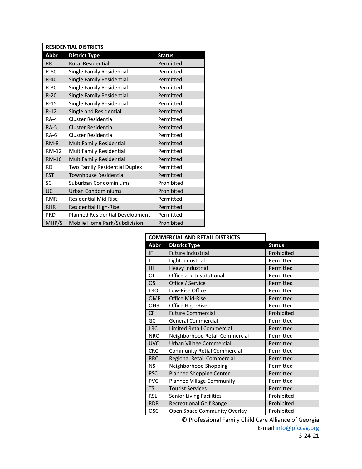|              | <b>RESIDENTIAL DISTRICTS</b>    |               |
|--------------|---------------------------------|---------------|
| Abbr         | <b>District Type</b>            | <b>Status</b> |
| <b>RR</b>    | <b>Rural Residential</b>        | Permitted     |
| $R-80$       | Single Family Residential       | Permitted     |
| $R-40$       | Single Family Residential       | Permitted     |
| $R-30$       | Single Family Residential       | Permitted     |
| $R-20$       | Single Family Residential       | Permitted     |
| $R-15$       | Single Family Residential       | Permitted     |
| $R-12$       | Single and Residential          | Permitted     |
| $RA-4$       | Cluster Residential             | Permitted     |
| <b>RA-5</b>  | <b>Cluster Residential</b>      | Permitted     |
| <b>RA-6</b>  | <b>Cluster Residential</b>      | Permitted     |
| $RM-8$       | MultiFamily Residential         | Permitted     |
| <b>RM-12</b> | MultiFamily Residential         | Permitted     |
| <b>RM-16</b> | MultiFamily Residential         | Permitted     |
| <b>RD</b>    | Two Family Residential Duplex   | Permitted     |
| <b>FST</b>   | <b>Townhouse Residential</b>    | Permitted     |
| SC           | Suburban Condominiums           | Prohibited    |
| UC           | Urban Condominiums              | Prohibited    |
| <b>RMR</b>   | <b>Residential Mid-Rise</b>     | Permitted     |
| <b>RHR</b>   | <b>Residential High-Rise</b>    | Permitted     |
| <b>PRD</b>   | Planned Residential Development | Permitted     |
| MHP/S        | Mobile Home Park/Subdivision    | Prohibited    |

| <b>COMMERCIAL AND RETAIL DISTRICTS</b> |                                    |               |
|----------------------------------------|------------------------------------|---------------|
| <b>Abbr</b>                            | <b>District Type</b>               | <b>Status</b> |
| IF                                     | <b>Future Industrial</b>           | Prohibited    |
| $\mathsf{L}$                           | Light Industrial                   | Permitted     |
| HI                                     | <b>Heavy Industrial</b>            | Permitted     |
| ΟI                                     | Office and Institutional           | Permitted     |
| <b>OS</b>                              | Office / Service                   | Permitted     |
| <b>LRO</b>                             | Low-Rise Office                    | Permitted     |
| <b>OMR</b>                             | <b>Office Mid-Rise</b>             | Permitted     |
| <b>OHR</b>                             | Office High-Rise                   | Permitted     |
| CF                                     | <b>Future Commercial</b>           | Prohibited    |
| GC                                     | <b>General Commercial</b>          | Permitted     |
| <b>LRC</b>                             | Limited Retail Commercial          | Permitted     |
| <b>NRC</b>                             | Neighborhood Retail Commercial     | Permitted     |
| <b>UVC</b>                             | Urban Village Commercial           | Permitted     |
| <b>CRC</b>                             | <b>Community Retial Commercial</b> | Permitted     |
| <b>RRC</b>                             | Regional Retail Commercial         | Permitted     |
| <b>NS</b>                              | Neighborhood Shopping              | Permitted     |
| <b>PSC</b>                             | <b>Planned Shopping Center</b>     | Permitted     |
| <b>PVC</b>                             | <b>Planned Village Community</b>   | Permitted     |
| <b>TS</b>                              | <b>Tourist Services</b>            | Permitted     |
| <b>RSL</b>                             | <b>Senior Living Facilities</b>    | Prohibited    |
| <b>RDR</b>                             | <b>Recreational Golf Range</b>     | Prohibited    |
| <b>OSC</b>                             | Open Space Community Overlay       | Prohibited    |

© Professional Family Child Care Alliance of Georgia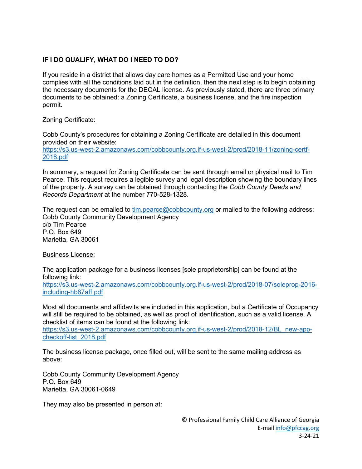# **IF I DO QUALIFY, WHAT DO I NEED TO DO?**

If you reside in a district that allows day care homes as a Permitted Use and your home complies with all the conditions laid out in the definition, then the next step is to begin obtaining the necessary documents for the DECAL license. As previously stated, there are three primary documents to be obtained: a Zoning Certificate, a business license, and the fire inspection permit.

# Zoning Certificate:

Cobb County's procedures for obtaining a Zoning Certificate are detailed in this document provided on their website:

[https://s3.us-west-2.amazonaws.com/cobbcounty.org.if-us-west-2/prod/2018-11/zoning-certf-](https://s3.us-west-2.amazonaws.com/cobbcounty.org.if-us-west-2/prod/2018-11/zoning-certf-2018.pdf)[2018.pdf](https://s3.us-west-2.amazonaws.com/cobbcounty.org.if-us-west-2/prod/2018-11/zoning-certf-2018.pdf)

In summary, a request for Zoning Certificate can be sent through email or physical mail to Tim Pearce. This request requires a legible survey and legal description showing the boundary lines of the property. A survey can be obtained through contacting the *Cobb County Deeds and Records Department* at the number 770-528-1328.

The request can be emailed to [tim.pearce@cobbcounty.org](mailto:tim.pearce@cobbcounty.org) or mailed to the following address: Cobb County Community Development Agency c/o Tim Pearce P.O. Box 649 Marietta, GA 30061

Business License:

The application package for a business licenses [sole proprietorship] can be found at the following link:

[https://s3.us-west-2.amazonaws.com/cobbcounty.org.if-us-west-2/prod/2018-07/soleprop-2016](https://s3.us-west-2.amazonaws.com/cobbcounty.org.if-us-west-2/prod/2018-07/soleprop-2016-including-hb87aff.pdf) [including-hb87aff.pdf](https://s3.us-west-2.amazonaws.com/cobbcounty.org.if-us-west-2/prod/2018-07/soleprop-2016-including-hb87aff.pdf)

Most all documents and affidavits are included in this application, but a Certificate of Occupancy will still be required to be obtained, as well as proof of identification, such as a valid license. A checklist of items can be found at the following link:

[https://s3.us-west-2.amazonaws.com/cobbcounty.org.if-us-west-2/prod/2018-12/BL\\_new-app](https://s3.us-west-2.amazonaws.com/cobbcounty.org.if-us-west-2/prod/2018-12/BL_new-app-checkoff-list_2018.pdf)[checkoff-list\\_2018.pdf](https://s3.us-west-2.amazonaws.com/cobbcounty.org.if-us-west-2/prod/2018-12/BL_new-app-checkoff-list_2018.pdf)

The business license package, once filled out, will be sent to the same mailing address as above:

Cobb County Community Development Agency P.O. Box 649 Marietta, GA 30061-0649

They may also be presented in person at: